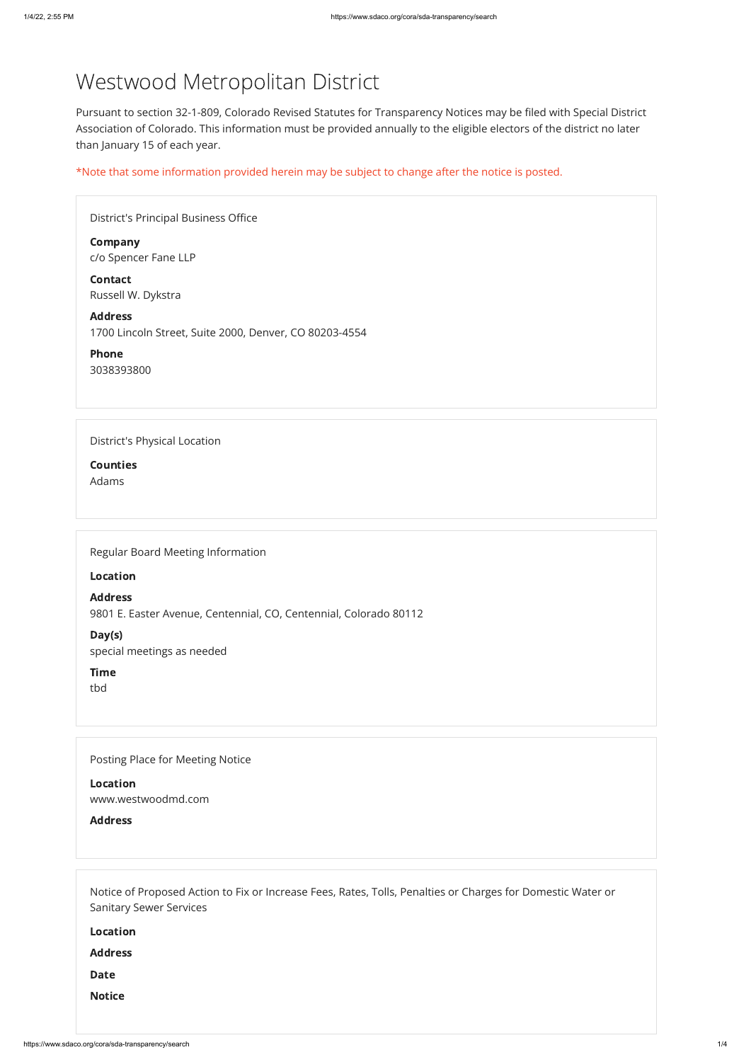# Westwood Metropolitan District

Pursuant to section 32-1-809, Colorado Revised Statutes for Transparency Notices may be filed with Special District Association of Colorado. This information must be provided annually to the eligible electors of the district no later than January 15 of each year.

\*Note that some information provided herein may be subject to change after the notice is posted.

| District's Principal Business Office                                                |
|-------------------------------------------------------------------------------------|
| <b>Company</b><br>c/o Spencer Fane LLP                                              |
| <b>Contact</b><br>Russell W. Dykstra                                                |
| <b>Address</b><br>1700 Lincoln Street, Suite 2000, Denver, CO 80203-4554            |
| <b>Phone</b><br>3038393800                                                          |
|                                                                                     |
| <b>District's Physical Location</b>                                                 |
| <b>Counties</b><br>Adams                                                            |
|                                                                                     |
|                                                                                     |
| Regular Board Meeting Information                                                   |
| <b>Location</b>                                                                     |
| <b>Address</b><br>9801 E. Easter Avenue, Centennial, CO, Centennial, Colorado 80112 |
| Day(s)<br>special meetings as needed                                                |

Time tbd

Posting Place for Meeting Notice

Location

| www.westwoodmd.com                                                                                          |  |
|-------------------------------------------------------------------------------------------------------------|--|
| <b>Address</b>                                                                                              |  |
|                                                                                                             |  |
|                                                                                                             |  |
|                                                                                                             |  |
| Notice of Proposed Action to Fix or Increase Fees, Rates, Tolls, Penalties or Charges for Domestic Water or |  |
| <b>Sanitary Sewer Services</b>                                                                              |  |
| <b>Location</b>                                                                                             |  |
| <b>Address</b>                                                                                              |  |
|                                                                                                             |  |
| <b>Date</b>                                                                                                 |  |
| <b>Notice</b>                                                                                               |  |
|                                                                                                             |  |
|                                                                                                             |  |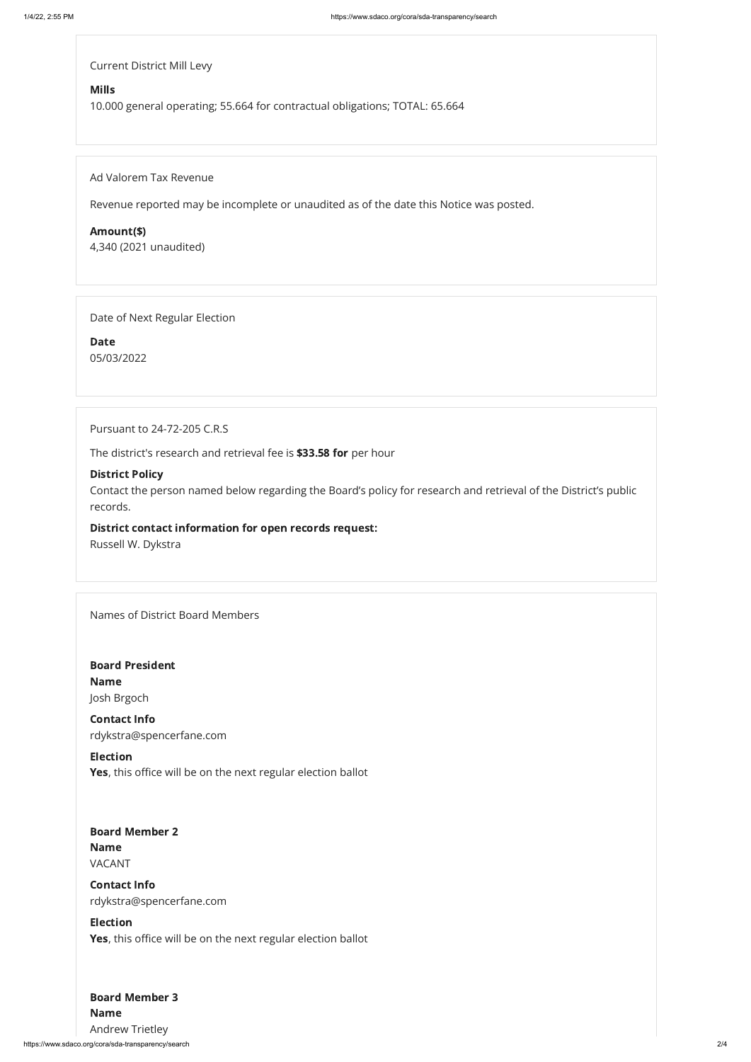https://www.sdaco.org/cora/sda-transparency/search 2/4

Current District Mill Levy

#### Mills

10.000 general operating; 55.664 for contractual obligations; TOTAL: 65.664

Ad Valorem Tax Revenue

Revenue reported may be incomplete or unaudited as of the date this Notice was posted.

#### Amount(\$)

4,340 (2021 unaudited)

Date of Next Regular Election

Date 05/03/2022

Election Yes, this office will be on the next regular election ballot

Pursuant to 24-72-205 C.R.S

The district's research and retrieval fee is \$33.58 for per hour

#### District Policy

Contact the person named below regarding the Board's policy for research and retrieval of the District's public records.

District contact information for open records request: Russell W. Dykstra

Names of District Board Members

#### Board Member 2

Board President Name Josh Brgoch

## Board Member 3

Contact Info rdykstra@spencerfane.com

Name

VACANT

### Contact Info

rdykstra@spencerfane.com

#### Election

Yes, this office will be on the next regular election ballot

Name

Andrew Trietley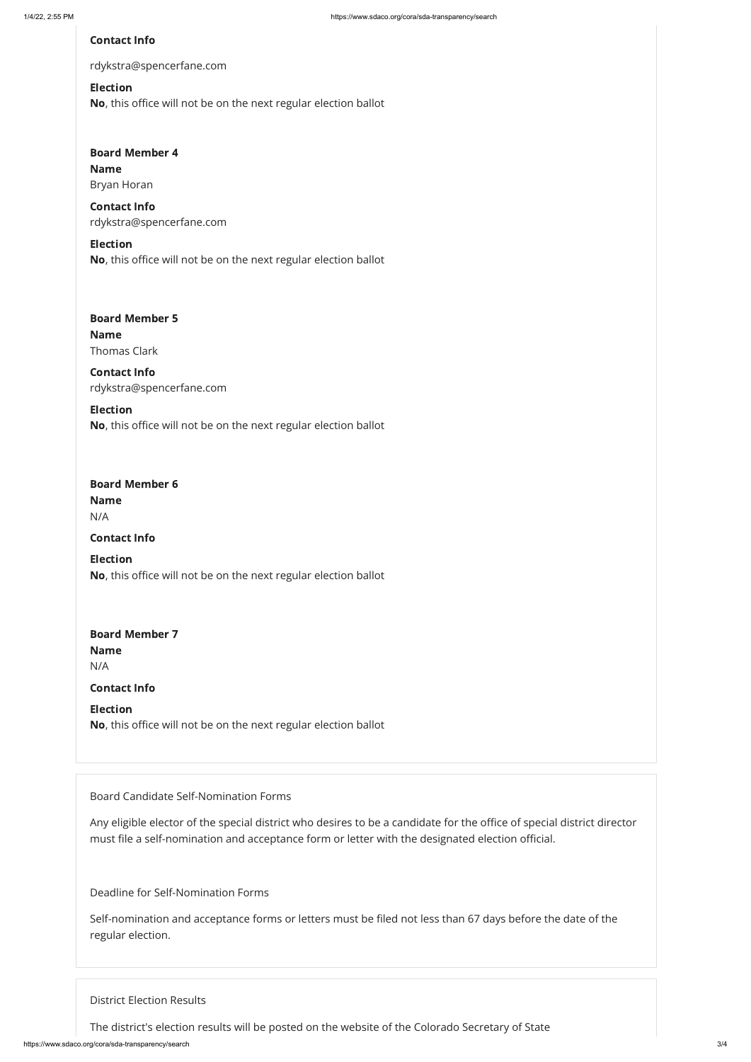#### Contact Info

rdykstra@spencerfane.com

**Election** No, this office will not be on the next regular election ballot

## Board Member 4 Name Bryan Horan

#### Election

No, this office will not be on the next regular election ballot

## Board Member 5 Name Thomas Clark

Contact Info rdykstra@spencerfane.com

## Board Member 6 Name

## Board Member 7 Name N/A

Contact Info rdykstra@spencerfane.com

Election No, this office will not be on the next regular election ballot

N/A

Contact Info

Election No, this office will not be on the next regular election ballot

Contact Info

Election No, this office will not be on the next regular election ballot

Board Candidate Self-Nomination Forms

Any eligible elector of the special district who desires to be a candidate for the office of special district director must file a self-nomination and acceptance form or letter with the designated election official.

Deadline for Self-Nomination Forms

Self-nomination and acceptance forms or letters must be filed not less than 67 days before the date of the regular election.

District Election Results

The district's election results will be posted on the website of the Colorado Secretary of State